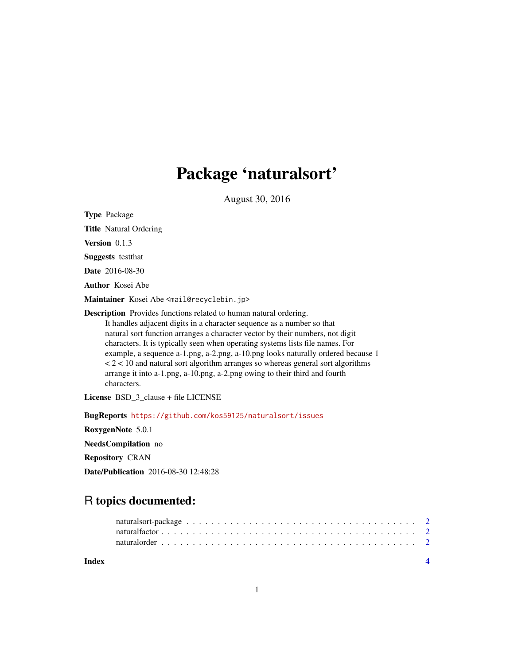## Package 'naturalsort'

August 30, 2016

Type Package

Title Natural Ordering

Version 0.1.3

Suggests testthat

Date 2016-08-30

Author Kosei Abe

Maintainer Kosei Abe <mail@recyclebin.jp>

Description Provides functions related to human natural ordering.

It handles adjacent digits in a character sequence as a number so that natural sort function arranges a character vector by their numbers, not digit characters. It is typically seen when operating systems lists file names. For example, a sequence a-1.png, a-2.png, a-10.png looks naturally ordered because 1  $<$  2  $<$  10 and natural sort algorithm arranges so whereas general sort algorithms arrange it into a-1.png, a-10.png, a-2.png owing to their third and fourth characters.

License BSD\_3\_clause + file LICENSE

BugReports <https://github.com/kos59125/naturalsort/issues>

RoxygenNote 5.0.1 NeedsCompilation no Repository CRAN

Date/Publication 2016-08-30 12:48:28

### R topics documented:

| Index |  |
|-------|--|
|       |  |
|       |  |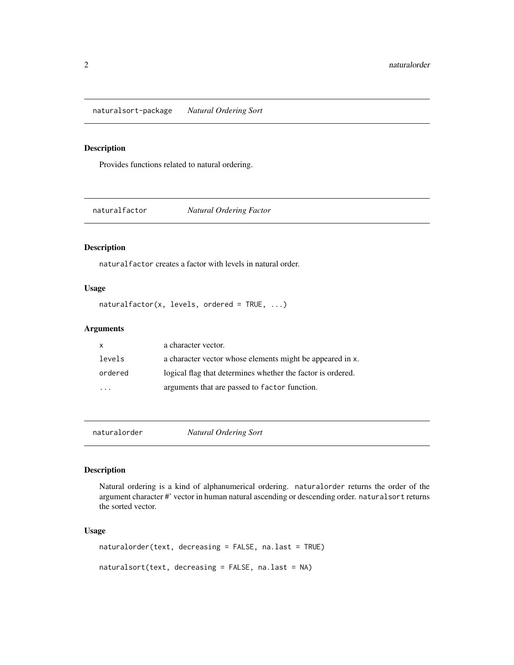<span id="page-1-0"></span>naturalsort-package *Natural Ordering Sort*

#### Description

Provides functions related to natural ordering.

naturalfactor *Natural Ordering Factor*

#### Description

naturalfactor creates a factor with levels in natural order.

#### Usage

naturalfactor(x, levels, ordered = TRUE, ...)

#### Arguments

| X       | a character vector.                                         |
|---------|-------------------------------------------------------------|
| levels  | a character vector whose elements might be appeared in x.   |
| ordered | logical flag that determines whether the factor is ordered. |
| $\cdot$ | arguments that are passed to factor function.               |

naturalorder *Natural Ordering Sort*

#### Description

Natural ordering is a kind of alphanumerical ordering. naturalorder returns the order of the argument character #' vector in human natural ascending or descending order. naturalsort returns the sorted vector.

#### Usage

naturalorder(text, decreasing = FALSE, na.last = TRUE) naturalsort(text, decreasing = FALSE, na.last = NA)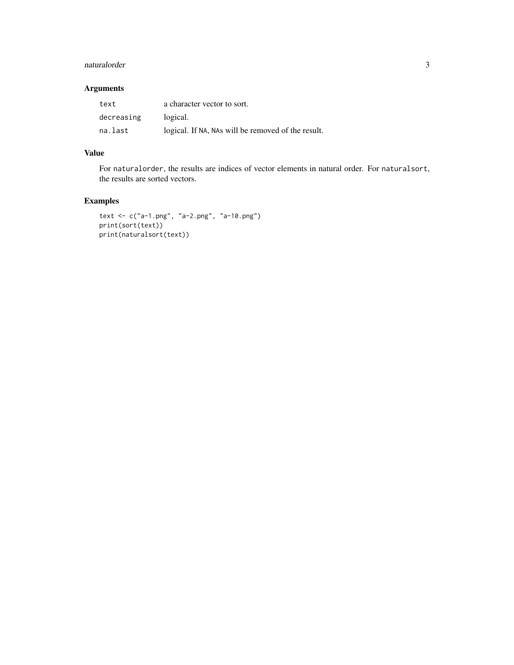#### naturalorder 3

#### Arguments

| text       | a character vector to sort.                        |
|------------|----------------------------------------------------|
| decreasing | logical.                                           |
| na.last    | logical. If NA, NAs will be removed of the result. |

#### Value

For naturalorder, the results are indices of vector elements in natural order. For naturalsort, the results are sorted vectors.

#### Examples

```
text <- c("a-1.png", "a-2.png", "a-10.png")
print(sort(text))
print(naturalsort(text))
```